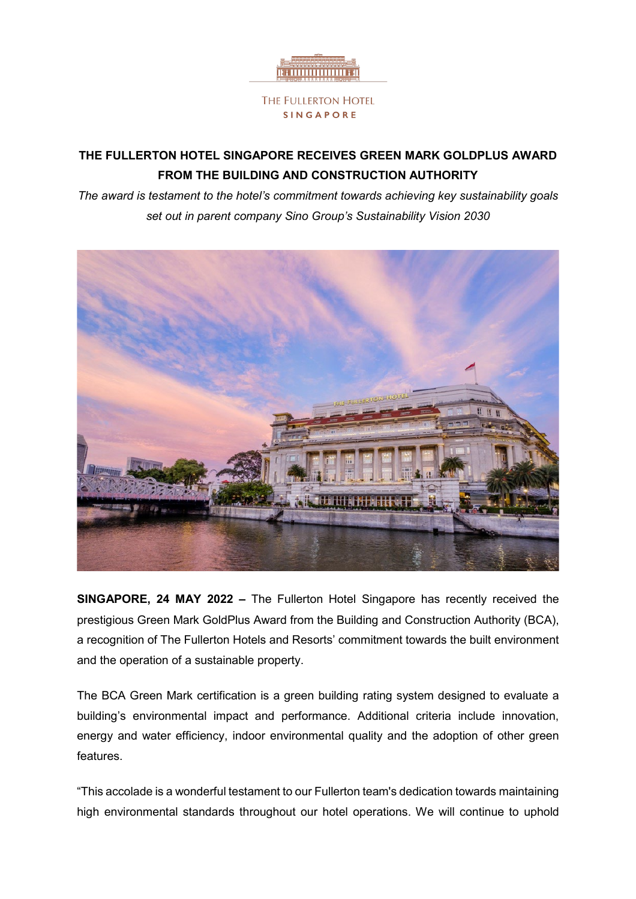

# **THE FULLERTON HOTEL SINGAPORE RECEIVES GREEN MARK GOLDPLUS AWARD FROM THE BUILDING AND CONSTRUCTION AUTHORITY**

*The award is testament to the hotel's commitment towards achieving key sustainability goals set out in parent company Sino Group's Sustainability Vision 2030*



**SINGAPORE, 24 MAY 2022 –** The Fullerton Hotel Singapore has recently received the prestigious Green Mark GoldPlus Award from the Building and Construction Authority (BCA), a recognition of The Fullerton Hotels and Resorts' commitment towards the built environment and the operation of a sustainable property.

The BCA Green Mark certification is a green building rating system designed to evaluate a building's environmental impact and performance. Additional criteria include innovation, energy and water efficiency, indoor environmental quality and the adoption of other green features.

"This accolade is a wonderful testament to our Fullerton team's dedication towards maintaining high environmental standards throughout our hotel operations. We will continue to uphold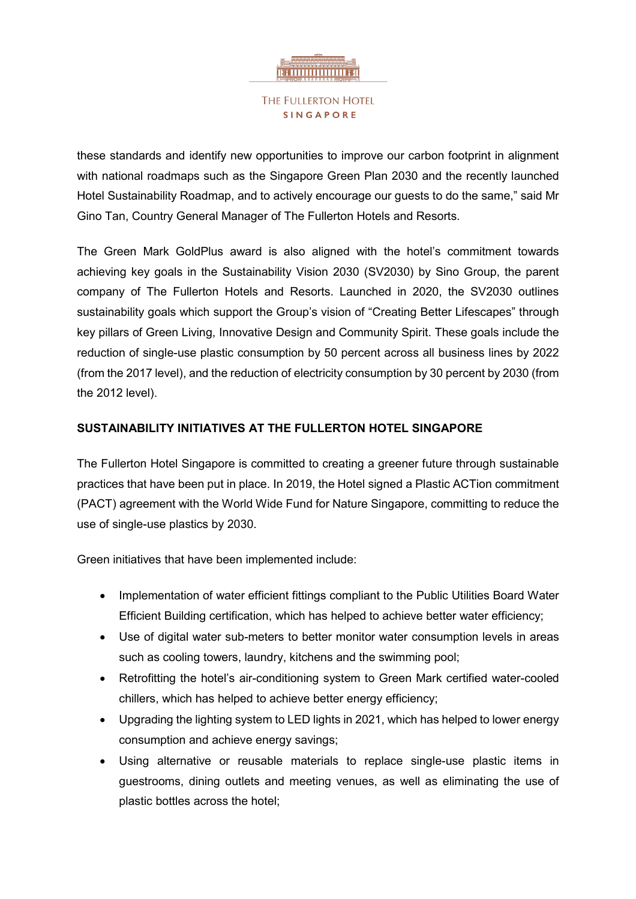

these standards and identify new opportunities to improve our carbon footprint in alignment with national roadmaps such as the Singapore Green Plan 2030 and the recently launched Hotel Sustainability Roadmap, and to actively encourage our guests to do the same," said Mr Gino Tan, Country General Manager of The Fullerton Hotels and Resorts.

The Green Mark GoldPlus award is also aligned with the hotel's commitment towards achieving key goals in the Sustainability Vision 2030 (SV2030) by Sino Group, the parent company of The Fullerton Hotels and Resorts. Launched in 2020, the SV2030 outlines sustainability goals which support the Group's vision of "Creating Better Lifescapes" through key pillars of Green Living, Innovative Design and Community Spirit. These goals include the reduction of single-use plastic consumption by 50 percent across all business lines by 2022 (from the 2017 level), and the reduction of electricity consumption by 30 percent by 2030 (from the 2012 level).

# **SUSTAINABILITY INITIATIVES AT THE FULLERTON HOTEL SINGAPORE**

The Fullerton Hotel Singapore is committed to creating a greener future through sustainable practices that have been put in place. In 2019, the Hotel signed a Plastic ACTion commitment (PACT) agreement with the World Wide Fund for Nature Singapore, committing to reduce the use of single-use plastics by 2030.

Green initiatives that have been implemented include:

- Implementation of water efficient fittings compliant to the Public Utilities Board Water Efficient Building certification, which has helped to achieve better water efficiency;
- Use of digital water sub-meters to better monitor water consumption levels in areas such as cooling towers, laundry, kitchens and the swimming pool;
- Retrofitting the hotel's air-conditioning system to Green Mark certified water-cooled chillers, which has helped to achieve better energy efficiency;
- Upgrading the lighting system to LED lights in 2021, which has helped to lower energy consumption and achieve energy savings;
- Using alternative or reusable materials to replace single-use plastic items in guestrooms, dining outlets and meeting venues, as well as eliminating the use of plastic bottles across the hotel;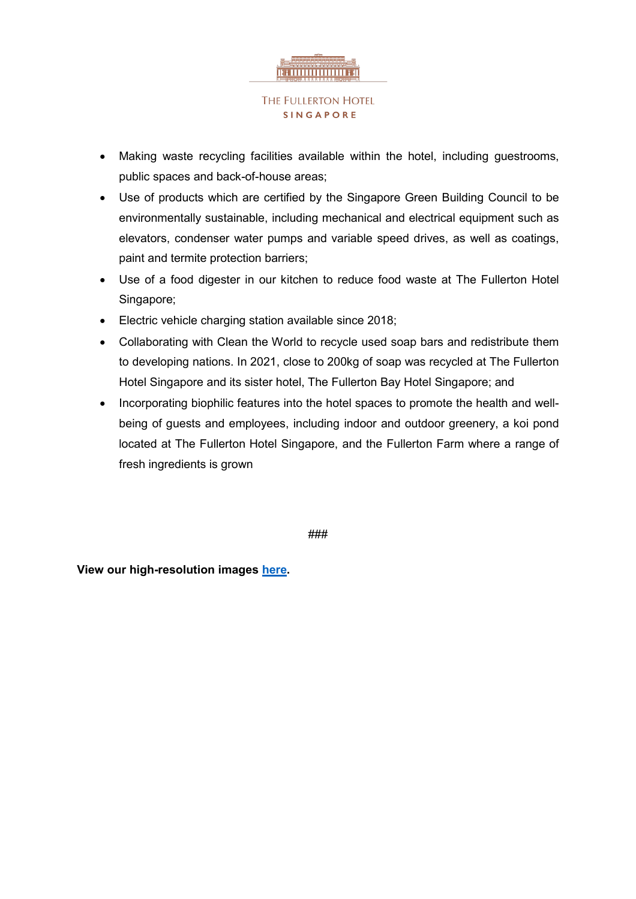

- Making waste recycling facilities available within the hotel, including guestrooms, public spaces and back-of-house areas;
- Use of products which are certified by the Singapore Green Building Council to be environmentally sustainable, including mechanical and electrical equipment such as elevators, condenser water pumps and variable speed drives, as well as coatings, paint and termite protection barriers;
- Use of a food digester in our kitchen to reduce food waste at The Fullerton Hotel Singapore;
- Electric vehicle charging station available since 2018;
- Collaborating with Clean the World to recycle used soap bars and redistribute them to developing nations. In 2021, close to 200kg of soap was recycled at The Fullerton Hotel Singapore and its sister hotel, The Fullerton Bay Hotel Singapore; and
- Incorporating biophilic features into the hotel spaces to promote the health and wellbeing of guests and employees, including indoor and outdoor greenery, a koi pond located at The Fullerton Hotel Singapore, and the Fullerton Farm where a range of fresh ingredients is grown

###

**View our high-resolution images [here.](https://fullertonhotels.sharepoint.com/:f:/s/MARCOM/EjazfOiO4xtLtL4OpcQ0rDwBX3BYuLBbDlwOBPf6jOVaqA?e=YNY55f)**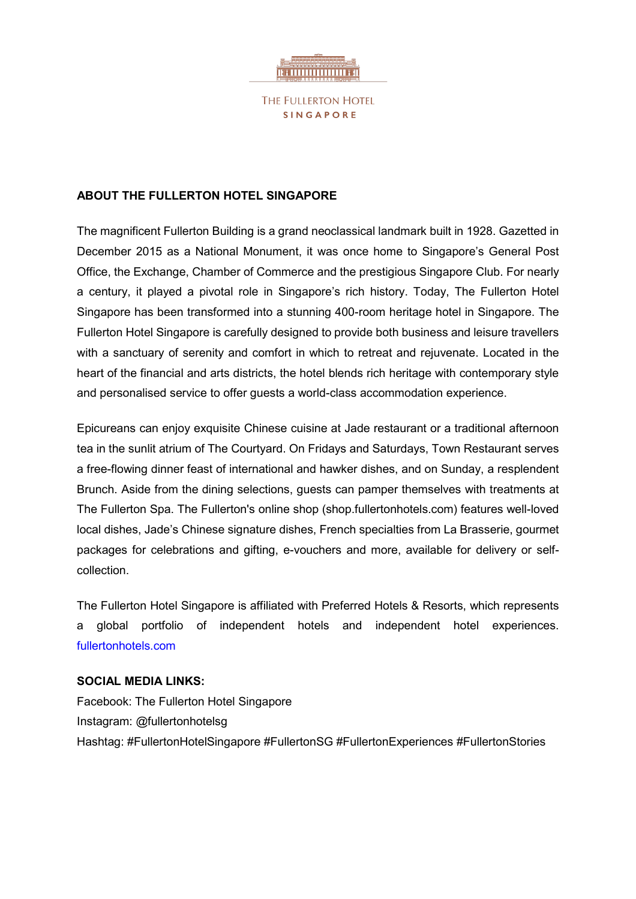

# **ABOUT THE FULLERTON HOTEL SINGAPORE**

The magnificent Fullerton Building is a grand neoclassical landmark built in 1928. Gazetted in December 2015 as a National Monument, it was once home to Singapore's General Post Office, the Exchange, Chamber of Commerce and the prestigious Singapore Club. For nearly a century, it played a pivotal role in Singapore's rich history. Today, The Fullerton Hotel Singapore has been transformed into a stunning 400-room heritage hotel in Singapore. The Fullerton Hotel Singapore is carefully designed to provide both business and leisure travellers with a sanctuary of serenity and comfort in which to retreat and rejuvenate. Located in the heart of the financial and arts districts, the hotel blends rich heritage with contemporary style and personalised service to offer guests a world-class accommodation experience.

Epicureans can enjoy exquisite Chinese cuisine at Jade restaurant or a traditional afternoon tea in the sunlit atrium of The Courtyard. On Fridays and Saturdays, Town Restaurant serves a free-flowing dinner feast of international and hawker dishes, and on Sunday, a resplendent Brunch. Aside from the dining selections, guests can pamper themselves with treatments at The Fullerton Spa. The Fullerton's online shop (shop.fullertonhotels.com) features well-loved local dishes, Jade's Chinese signature dishes, French specialties from La Brasserie, gourmet packages for celebrations and gifting, e-vouchers and more, available for delivery or selfcollection.

The Fullerton Hotel Singapore is affiliated with Preferred Hotels & Resorts, which represents a global portfolio of independent hotels and independent hotel experiences. fullertonhotels.com

### **SOCIAL MEDIA LINKS:**

Facebook: The Fullerton Hotel Singapore Instagram: @fullertonhotelsg Hashtag: #FullertonHotelSingapore #FullertonSG #FullertonExperiences #FullertonStories